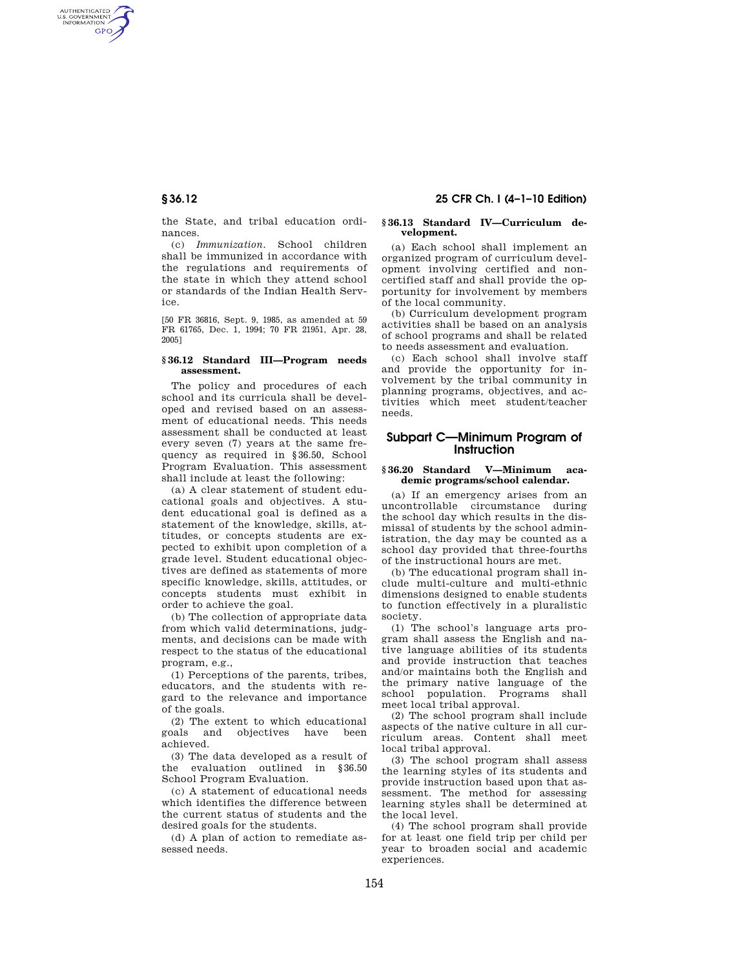AUTHENTICATED<br>U.S. GOVERNMENT<br>INFORMATION GPO

> the State, and tribal education ordinances.

> (c) *Immunization.* School children shall be immunized in accordance with the regulations and requirements of the state in which they attend school or standards of the Indian Health Service.

> [50 FR 36816, Sept. 9, 1985, as amended at 59 FR 61765, Dec. 1, 1994; 70 FR 21951, Apr. 28, 2005]

### **§ 36.12 Standard III—Program needs assessment.**

The policy and procedures of each school and its curricula shall be developed and revised based on an assessment of educational needs. This needs assessment shall be conducted at least every seven (7) years at the same frequency as required in §36.50, School Program Evaluation. This assessment shall include at least the following:

(a) A clear statement of student educational goals and objectives. A student educational goal is defined as a statement of the knowledge, skills, attitudes, or concepts students are expected to exhibit upon completion of a grade level. Student educational objectives are defined as statements of more specific knowledge, skills, attitudes, or concepts students must exhibit in order to achieve the goal.

(b) The collection of appropriate data from which valid determinations, judgments, and decisions can be made with respect to the status of the educational program, e.g.,

(1) Perceptions of the parents, tribes, educators, and the students with regard to the relevance and importance of the goals.

(2) The extent to which educational goals and objectives have been achieved.

(3) The data developed as a result of the evaluation outlined in §36.50 School Program Evaluation.

(c) A statement of educational needs which identifies the difference between the current status of students and the desired goals for the students.

(d) A plan of action to remediate assessed needs.

# **§ 36.12 25 CFR Ch. I (4–1–10 Edition)**

#### **§ 36.13 Standard IV—Curriculum development.**

(a) Each school shall implement an organized program of curriculum development involving certified and noncertified staff and shall provide the opportunity for involvement by members of the local community.

(b) Curriculum development program activities shall be based on an analysis of school programs and shall be related to needs assessment and evaluation.

(c) Each school shall involve staff and provide the opportunity for involvement by the tribal community in planning programs, objectives, and activities which meet student/teacher needs.

# **Subpart C—Minimum Program of Instruction**

#### **§ 36.20 Standard V—Minimum academic programs/school calendar.**

(a) If an emergency arises from an uncontrollable circumstance during the school day which results in the dismissal of students by the school administration, the day may be counted as a school day provided that three-fourths of the instructional hours are met.

(b) The educational program shall include multi-culture and multi-ethnic dimensions designed to enable students to function effectively in a pluralistic society.

(1) The school's language arts program shall assess the English and native language abilities of its students and provide instruction that teaches and/or maintains both the English and the primary native language of the school population. Programs shall meet local tribal approval.

(2) The school program shall include aspects of the native culture in all curriculum areas. Content shall meet local tribal approval.

(3) The school program shall assess the learning styles of its students and provide instruction based upon that assessment. The method for assessing learning styles shall be determined at the local level.

(4) The school program shall provide for at least one field trip per child per year to broaden social and academic experiences.